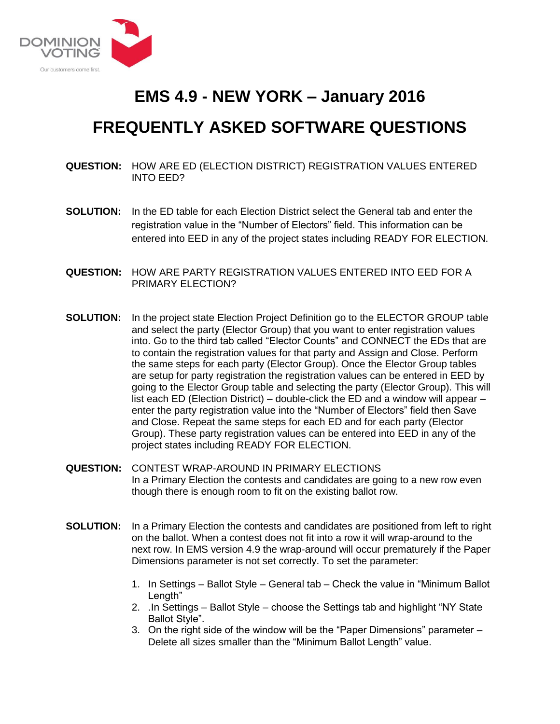

## **EMS 4.9 - NEW YORK – January 2016**

## **FREQUENTLY ASKED SOFTWARE QUESTIONS**

**QUESTION:** HOW ARE ED (ELECTION DISTRICT) REGISTRATION VALUES ENTERED INTO EED?

- **SOLUTION:** In the ED table for each Election District select the General tab and enter the registration value in the "Number of Electors" field. This information can be entered into EED in any of the project states including READY FOR ELECTION.
- **QUESTION:** HOW ARE PARTY REGISTRATION VALUES ENTERED INTO EED FOR A PRIMARY ELECTION?
- **SOLUTION:** In the project state Election Project Definition go to the ELECTOR GROUP table and select the party (Elector Group) that you want to enter registration values into. Go to the third tab called "Elector Counts" and CONNECT the EDs that are to contain the registration values for that party and Assign and Close. Perform the same steps for each party (Elector Group). Once the Elector Group tables are setup for party registration the registration values can be entered in EED by going to the Elector Group table and selecting the party (Elector Group). This will list each ED (Election District) – double-click the ED and a window will appear – enter the party registration value into the "Number of Electors" field then Save and Close. Repeat the same steps for each ED and for each party (Elector Group). These party registration values can be entered into EED in any of the project states including READY FOR ELECTION.
- **QUESTION:** CONTEST WRAP-AROUND IN PRIMARY ELECTIONS In a Primary Election the contests and candidates are going to a new row even though there is enough room to fit on the existing ballot row.
- **SOLUTION:** In a Primary Election the contests and candidates are positioned from left to right on the ballot. When a contest does not fit into a row it will wrap-around to the next row. In EMS version 4.9 the wrap-around will occur prematurely if the Paper Dimensions parameter is not set correctly. To set the parameter:
	- 1. In Settings Ballot Style General tab Check the value in "Minimum Ballot Length"
	- 2. .In Settings Ballot Style choose the Settings tab and highlight "NY State Ballot Style".
	- 3. On the right side of the window will be the "Paper Dimensions" parameter Delete all sizes smaller than the "Minimum Ballot Length" value.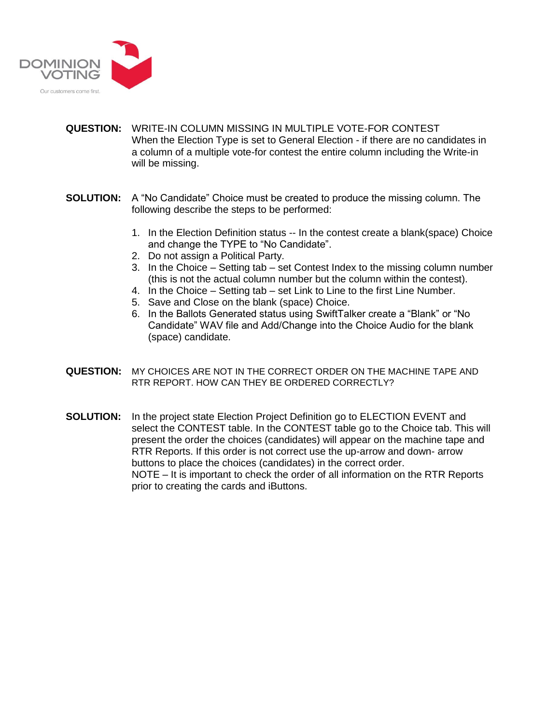

- **QUESTION:** WRITE-IN COLUMN MISSING IN MULTIPLE VOTE-FOR CONTEST When the Election Type is set to General Election - if there are no candidates in a column of a multiple vote-for contest the entire column including the Write-in will be missing.
- **SOLUTION:** A "No Candidate" Choice must be created to produce the missing column. The following describe the steps to be performed:
	- 1. In the Election Definition status -- In the contest create a blank(space) Choice and change the TYPE to "No Candidate".
	- 2. Do not assign a Political Party.
	- 3. In the Choice Setting tab set Contest Index to the missing column number (this is not the actual column number but the column within the contest).
	- 4. In the Choice Setting tab set Link to Line to the first Line Number.
	- 5. Save and Close on the blank (space) Choice.
	- 6. In the Ballots Generated status using SwiftTalker create a "Blank" or "No Candidate" WAV file and Add/Change into the Choice Audio for the blank (space) candidate.
- **QUESTION:** MY CHOICES ARE NOT IN THE CORRECT ORDER ON THE MACHINE TAPE AND RTR REPORT. HOW CAN THEY BE ORDERED CORRECTLY?
- **SOLUTION:** In the project state Election Project Definition go to ELECTION EVENT and select the CONTEST table. In the CONTEST table go to the Choice tab. This will present the order the choices (candidates) will appear on the machine tape and RTR Reports. If this order is not correct use the up-arrow and down- arrow buttons to place the choices (candidates) in the correct order. NOTE – It is important to check the order of all information on the RTR Reports prior to creating the cards and iButtons.